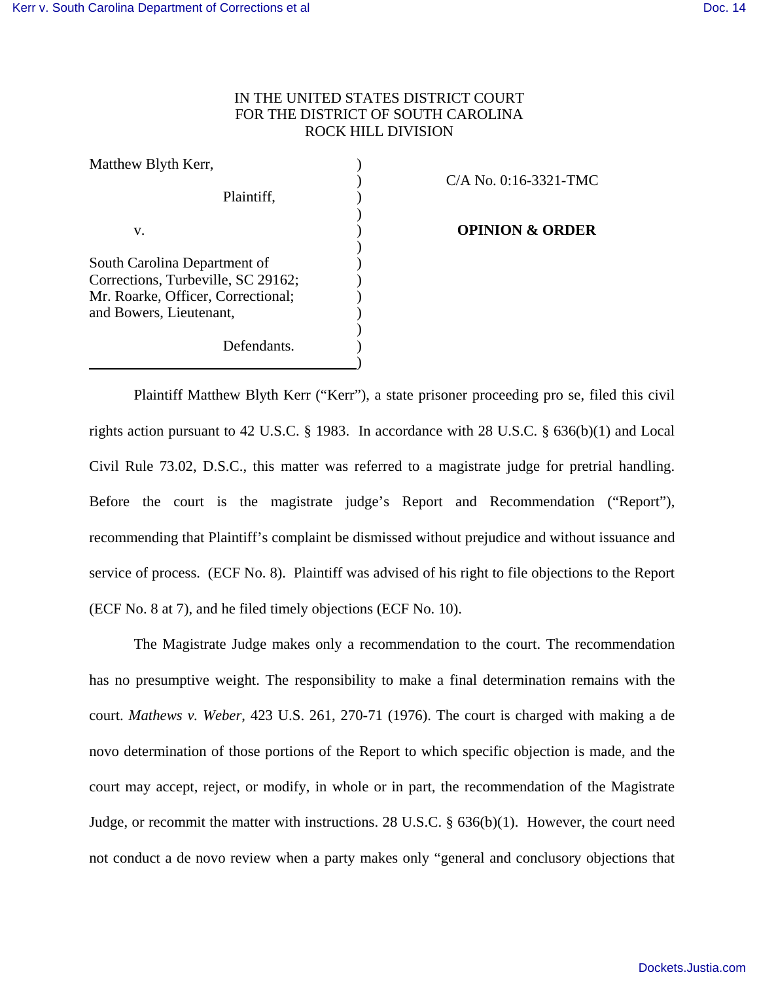# IN THE UNITED STATES DISTRICT COURT FOR THE DISTRICT OF SOUTH CAROLINA ROCK HILL DIVISION

| Matthew Blyth Kerr,                                                |  |
|--------------------------------------------------------------------|--|
|                                                                    |  |
| Plaintiff,                                                         |  |
| V.                                                                 |  |
|                                                                    |  |
| South Carolina Department of<br>Corrections, Turbeville, SC 29162; |  |
| Mr. Roarke, Officer, Correctional;                                 |  |
| and Bowers, Lieutenant,                                            |  |
| Defendants.                                                        |  |
|                                                                    |  |

### ) C/A No. 0:16-3321-TMC

#### **OPINION & ORDER**

Plaintiff Matthew Blyth Kerr ("Kerr"), a state prisoner proceeding pro se, filed this civil rights action pursuant to 42 U.S.C. § 1983. In accordance with 28 U.S.C. § 636(b)(1) and Local Civil Rule 73.02, D.S.C., this matter was referred to a magistrate judge for pretrial handling. Before the court is the magistrate judge's Report and Recommendation ("Report"), recommending that Plaintiff's complaint be dismissed without prejudice and without issuance and service of process. (ECF No. 8). Plaintiff was advised of his right to file objections to the Report (ECF No. 8 at 7), and he filed timely objections (ECF No. 10).

The Magistrate Judge makes only a recommendation to the court. The recommendation has no presumptive weight. The responsibility to make a final determination remains with the court. *Mathews v. Weber*, 423 U.S. 261, 270-71 (1976). The court is charged with making a de novo determination of those portions of the Report to which specific objection is made, and the court may accept, reject, or modify, in whole or in part, the recommendation of the Magistrate Judge, or recommit the matter with instructions. 28 U.S.C. § 636(b)(1). However, the court need not conduct a de novo review when a party makes only "general and conclusory objections that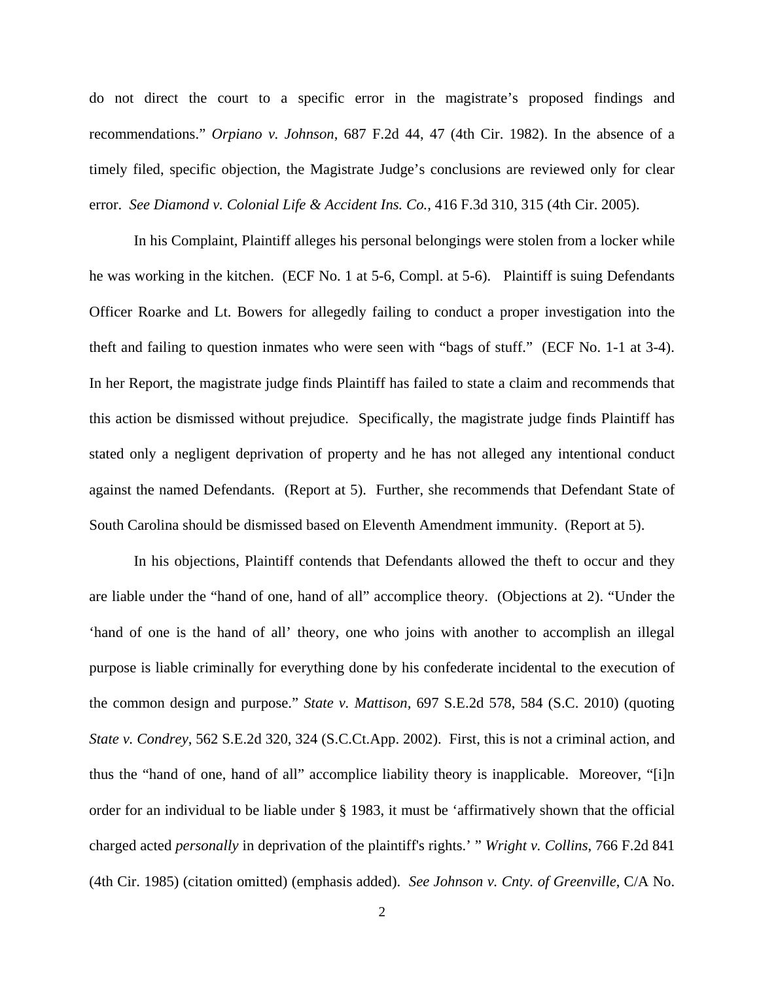do not direct the court to a specific error in the magistrate's proposed findings and recommendations." *Orpiano v. Johnson*, 687 F.2d 44, 47 (4th Cir. 1982). In the absence of a timely filed, specific objection, the Magistrate Judge's conclusions are reviewed only for clear error. *See Diamond v. Colonial Life & Accident Ins. Co.*, 416 F.3d 310, 315 (4th Cir. 2005).

In his Complaint, Plaintiff alleges his personal belongings were stolen from a locker while he was working in the kitchen. (ECF No. 1 at 5-6, Compl. at 5-6). Plaintiff is suing Defendants Officer Roarke and Lt. Bowers for allegedly failing to conduct a proper investigation into the theft and failing to question inmates who were seen with "bags of stuff." (ECF No. 1-1 at 3-4). In her Report, the magistrate judge finds Plaintiff has failed to state a claim and recommends that this action be dismissed without prejudice. Specifically, the magistrate judge finds Plaintiff has stated only a negligent deprivation of property and he has not alleged any intentional conduct against the named Defendants. (Report at 5). Further, she recommends that Defendant State of South Carolina should be dismissed based on Eleventh Amendment immunity. (Report at 5).

In his objections, Plaintiff contends that Defendants allowed the theft to occur and they are liable under the "hand of one, hand of all" accomplice theory. (Objections at 2). "Under the 'hand of one is the hand of all' theory, one who joins with another to accomplish an illegal purpose is liable criminally for everything done by his confederate incidental to the execution of the common design and purpose." *State v. Mattison,* 697 S.E.2d 578, 584 (S.C. 2010) (quoting *State v. Condrey*, 562 S.E.2d 320, 324 (S.C.Ct.App. 2002). First, this is not a criminal action, and thus the "hand of one, hand of all" accomplice liability theory is inapplicable. Moreover, "[i]n order for an individual to be liable under § 1983, it must be 'affirmatively shown that the official charged acted *personally* in deprivation of the plaintiff's rights.' " *Wright v. Collins*, 766 F.2d 841 (4th Cir. 1985) (citation omitted) (emphasis added). *See Johnson v. Cnty. of Greenville*, C/A No.